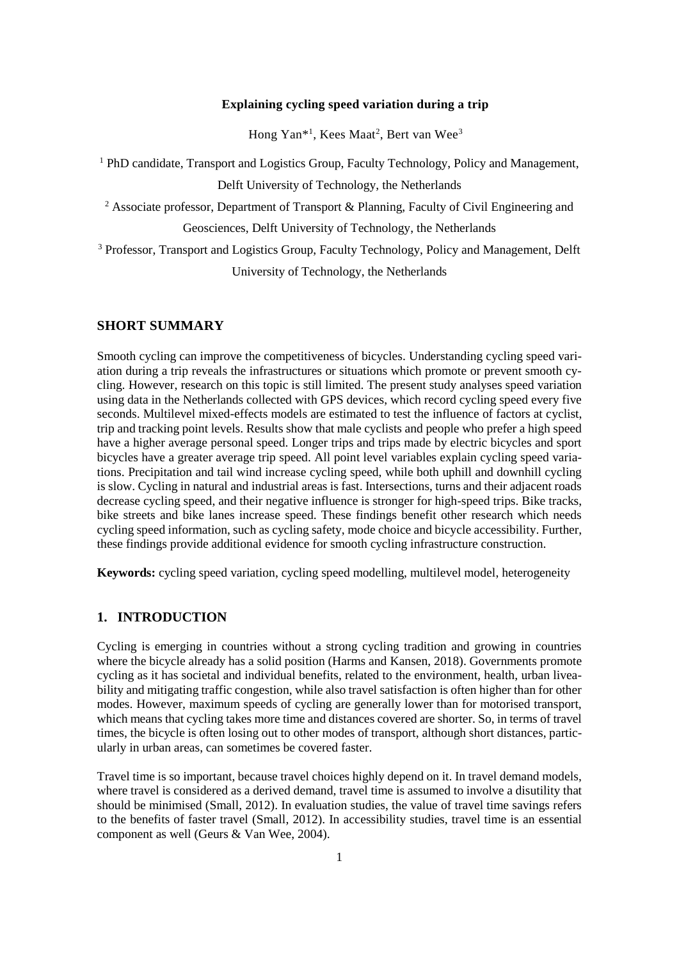#### **Explaining cycling speed variation during a trip**

Hong Yan<sup>\*1</sup>, Kees Maat<sup>2</sup>, Bert van Wee<sup>3</sup>

<sup>1</sup> PhD candidate, Transport and Logistics Group, Faculty Technology, Policy and Management, Delft University of Technology, the Netherlands

<sup>2</sup> Associate professor, Department of Transport & Planning, Faculty of Civil Engineering and

Geosciences, Delft University of Technology, the Netherlands

<sup>3</sup> Professor, Transport and Logistics Group, Faculty Technology, Policy and Management, Delft University of Technology, the Netherlands

#### **SHORT SUMMARY**

Smooth cycling can improve the competitiveness of bicycles. Understanding cycling speed variation during a trip reveals the infrastructures or situations which promote or prevent smooth cycling. However, research on this topic is still limited. The present study analyses speed variation using data in the Netherlands collected with GPS devices, which record cycling speed every five seconds. Multilevel mixed-effects models are estimated to test the influence of factors at cyclist, trip and tracking point levels. Results show that male cyclists and people who prefer a high speed have a higher average personal speed. Longer trips and trips made by electric bicycles and sport bicycles have a greater average trip speed. All point level variables explain cycling speed variations. Precipitation and tail wind increase cycling speed, while both uphill and downhill cycling is slow. Cycling in natural and industrial areas is fast. Intersections, turns and their adjacent roads decrease cycling speed, and their negative influence is stronger for high-speed trips. Bike tracks, bike streets and bike lanes increase speed. These findings benefit other research which needs cycling speed information, such as cycling safety, mode choice and bicycle accessibility. Further, these findings provide additional evidence for smooth cycling infrastructure construction.

**Keywords:** cycling speed variation, cycling speed modelling, multilevel model, heterogeneity

## **1. INTRODUCTION**

Cycling is emerging in countries without a strong cycling tradition and growing in countries where the bicycle already has a solid position (Harms and Kansen, 2018). Governments promote cycling as it has societal and individual benefits, related to the environment, health, urban liveability and mitigating traffic congestion, while also travel satisfaction is often higher than for other modes. However, maximum speeds of cycling are generally lower than for motorised transport, which means that cycling takes more time and distances covered are shorter. So, in terms of travel times, the bicycle is often losing out to other modes of transport, although short distances, particularly in urban areas, can sometimes be covered faster.

Travel time is so important, because travel choices highly depend on it. In travel demand models, where travel is considered as a derived demand, travel time is assumed to involve a disutility that should be minimised (Small, 2012). In evaluation studies, the value of travel time savings refers to the benefits of faster travel (Small, 2012). In accessibility studies, travel time is an essential component as well (Geurs & Van Wee, 2004).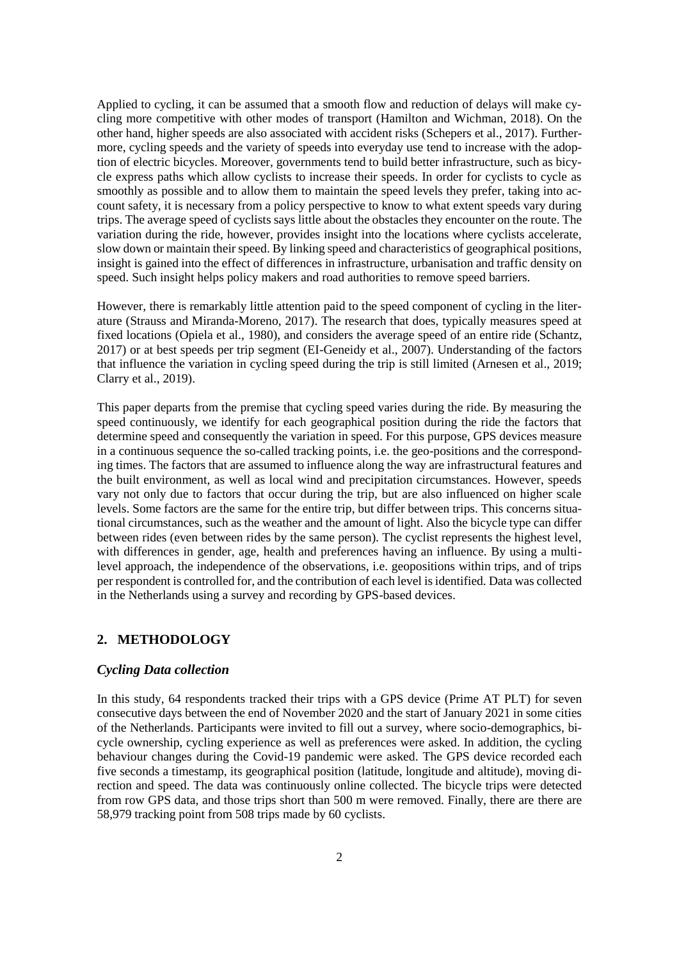Applied to cycling, it can be assumed that a smooth flow and reduction of delays will make cycling more competitive with other modes of transport (Hamilton and Wichman, 2018). On the other hand, higher speeds are also associated with accident risks (Schepers et al., 2017). Furthermore, cycling speeds and the variety of speeds into everyday use tend to increase with the adoption of electric bicycles. Moreover, governments tend to build better infrastructure, such as bicycle express paths which allow cyclists to increase their speeds. In order for cyclists to cycle as smoothly as possible and to allow them to maintain the speed levels they prefer, taking into account safety, it is necessary from a policy perspective to know to what extent speeds vary during trips. The average speed of cyclists says little about the obstacles they encounter on the route. The variation during the ride, however, provides insight into the locations where cyclists accelerate, slow down or maintain their speed. By linking speed and characteristics of geographical positions, insight is gained into the effect of differences in infrastructure, urbanisation and traffic density on speed. Such insight helps policy makers and road authorities to remove speed barriers.

However, there is remarkably little attention paid to the speed component of cycling in the literature (Strauss and Miranda-Moreno, 2017). The research that does, typically measures speed at fixed locations (Opiela et al., 1980), and considers the average speed of an entire ride (Schantz, 2017) or at best speeds per trip segment (EI-Geneidy et al., 2007). Understanding of the factors that influence the variation in cycling speed during the trip is still limited (Arnesen et al., 2019; Clarry et al., 2019).

This paper departs from the premise that cycling speed varies during the ride. By measuring the speed continuously, we identify for each geographical position during the ride the factors that determine speed and consequently the variation in speed. For this purpose, GPS devices measure in a continuous sequence the so-called tracking points, i.e. the geo-positions and the corresponding times. The factors that are assumed to influence along the way are infrastructural features and the built environment, as well as local wind and precipitation circumstances. However, speeds vary not only due to factors that occur during the trip, but are also influenced on higher scale levels. Some factors are the same for the entire trip, but differ between trips. This concerns situational circumstances, such as the weather and the amount of light. Also the bicycle type can differ between rides (even between rides by the same person). The cyclist represents the highest level, with differences in gender, age, health and preferences having an influence. By using a multilevel approach, the independence of the observations, i.e. geopositions within trips, and of trips per respondent is controlled for, and the contribution of each level is identified. Data was collected in the Netherlands using a survey and recording by GPS-based devices.

## **2. METHODOLOGY**

### *Cycling Data collection*

In this study, 64 respondents tracked their trips with a GPS device (Prime AT PLT) for seven consecutive days between the end of November 2020 and the start of January 2021 in some cities of the Netherlands. Participants were invited to fill out a survey, where socio-demographics, bicycle ownership, cycling experience as well as preferences were asked. In addition, the cycling behaviour changes during the Covid-19 pandemic were asked. The GPS device recorded each five seconds a timestamp, its geographical position (latitude, longitude and altitude), moving direction and speed. The data was continuously online collected. The bicycle trips were detected from row GPS data, and those trips short than 500 m were removed. Finally, there are there are 58,979 tracking point from 508 trips made by 60 cyclists.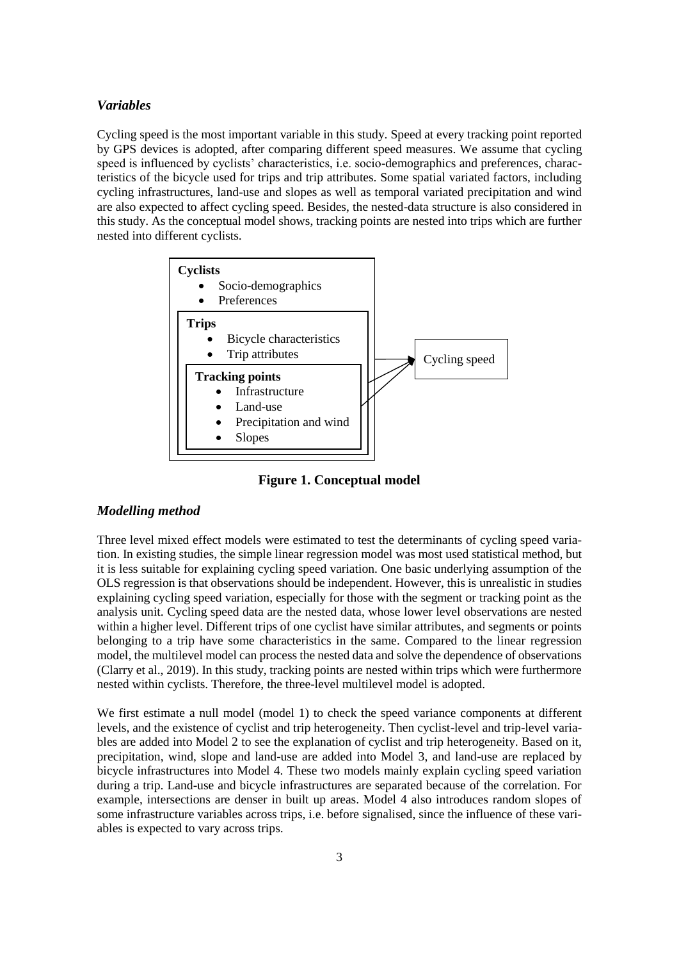#### *Variables*

Cycling speed is the most important variable in this study. Speed at every tracking point reported by GPS devices is adopted, after comparing different speed measures. We assume that cycling speed is influenced by cyclists' characteristics, i.e. socio-demographics and preferences, characteristics of the bicycle used for trips and trip attributes. Some spatial variated factors, including cycling infrastructures, land-use and slopes as well as temporal variated precipitation and wind are also expected to affect cycling speed. Besides, the nested-data structure is also considered in this study. As the conceptual model shows, tracking points are nested into trips which are further nested into different cyclists.



**Figure 1. Conceptual model**

## *Modelling method*

Three level mixed effect models were estimated to test the determinants of cycling speed variation. In existing studies, the simple linear regression model was most used statistical method, but it is less suitable for explaining cycling speed variation. One basic underlying assumption of the OLS regression is that observations should be independent. However, this is unrealistic in studies explaining cycling speed variation, especially for those with the segment or tracking point as the analysis unit. Cycling speed data are the nested data, whose lower level observations are nested within a higher level. Different trips of one cyclist have similar attributes, and segments or points belonging to a trip have some characteristics in the same. Compared to the linear regression model, the multilevel model can process the nested data and solve the dependence of observations (Clarry et al., 2019). In this study, tracking points are nested within trips which were furthermore nested within cyclists. Therefore, the three-level multilevel model is adopted.

We first estimate a null model (model 1) to check the speed variance components at different levels, and the existence of cyclist and trip heterogeneity. Then cyclist-level and trip-level variables are added into Model 2 to see the explanation of cyclist and trip heterogeneity. Based on it, precipitation, wind, slope and land-use are added into Model 3, and land-use are replaced by bicycle infrastructures into Model 4. These two models mainly explain cycling speed variation during a trip. Land-use and bicycle infrastructures are separated because of the correlation. For example, intersections are denser in built up areas. Model 4 also introduces random slopes of some infrastructure variables across trips, i.e. before signalised, since the influence of these variables is expected to vary across trips.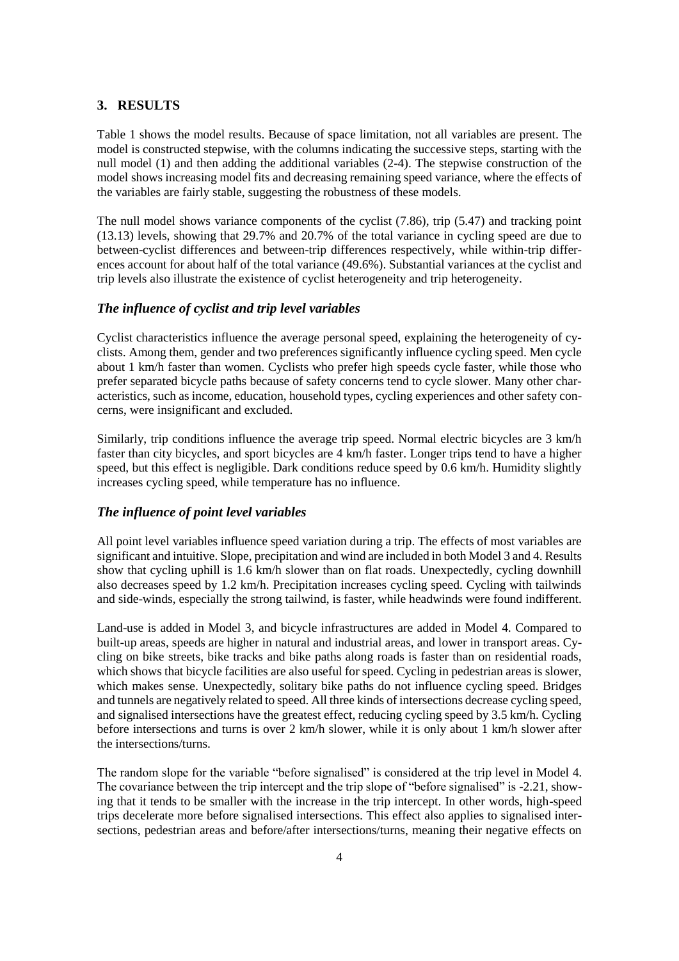### **3. RESULTS**

Table 1 shows the model results. Because of space limitation, not all variables are present. The model is constructed stepwise, with the columns indicating the successive steps, starting with the null model (1) and then adding the additional variables (2-4). The stepwise construction of the model shows increasing model fits and decreasing remaining speed variance, where the effects of the variables are fairly stable, suggesting the robustness of these models.

The null model shows variance components of the cyclist (7.86), trip (5.47) and tracking point (13.13) levels, showing that 29.7% and 20.7% of the total variance in cycling speed are due to between-cyclist differences and between-trip differences respectively, while within-trip differences account for about half of the total variance (49.6%). Substantial variances at the cyclist and trip levels also illustrate the existence of cyclist heterogeneity and trip heterogeneity.

## *The influence of cyclist and trip level variables*

Cyclist characteristics influence the average personal speed, explaining the heterogeneity of cyclists. Among them, gender and two preferences significantly influence cycling speed. Men cycle about 1 km/h faster than women. Cyclists who prefer high speeds cycle faster, while those who prefer separated bicycle paths because of safety concerns tend to cycle slower. Many other characteristics, such as income, education, household types, cycling experiences and other safety concerns, were insignificant and excluded.

Similarly, trip conditions influence the average trip speed. Normal electric bicycles are 3 km/h faster than city bicycles, and sport bicycles are 4 km/h faster. Longer trips tend to have a higher speed, but this effect is negligible. Dark conditions reduce speed by 0.6 km/h. Humidity slightly increases cycling speed, while temperature has no influence.

#### *The influence of point level variables*

All point level variables influence speed variation during a trip. The effects of most variables are significant and intuitive. Slope, precipitation and wind are included in both Model 3 and 4. Results show that cycling uphill is 1.6 km/h slower than on flat roads. Unexpectedly, cycling downhill also decreases speed by 1.2 km/h. Precipitation increases cycling speed. Cycling with tailwinds and side-winds, especially the strong tailwind, is faster, while headwinds were found indifferent.

Land-use is added in Model 3, and bicycle infrastructures are added in Model 4. Compared to built-up areas, speeds are higher in natural and industrial areas, and lower in transport areas. Cycling on bike streets, bike tracks and bike paths along roads is faster than on residential roads, which shows that bicycle facilities are also useful for speed. Cycling in pedestrian areas is slower, which makes sense. Unexpectedly, solitary bike paths do not influence cycling speed. Bridges and tunnels are negatively related to speed. All three kinds of intersections decrease cycling speed, and signalised intersections have the greatest effect, reducing cycling speed by 3.5 km/h. Cycling before intersections and turns is over 2 km/h slower, while it is only about 1 km/h slower after the intersections/turns.

The random slope for the variable "before signalised" is considered at the trip level in Model 4. The covariance between the trip intercept and the trip slope of "before signalised" is -2.21, showing that it tends to be smaller with the increase in the trip intercept. In other words, high-speed trips decelerate more before signalised intersections. This effect also applies to signalised intersections, pedestrian areas and before/after intersections/turns, meaning their negative effects on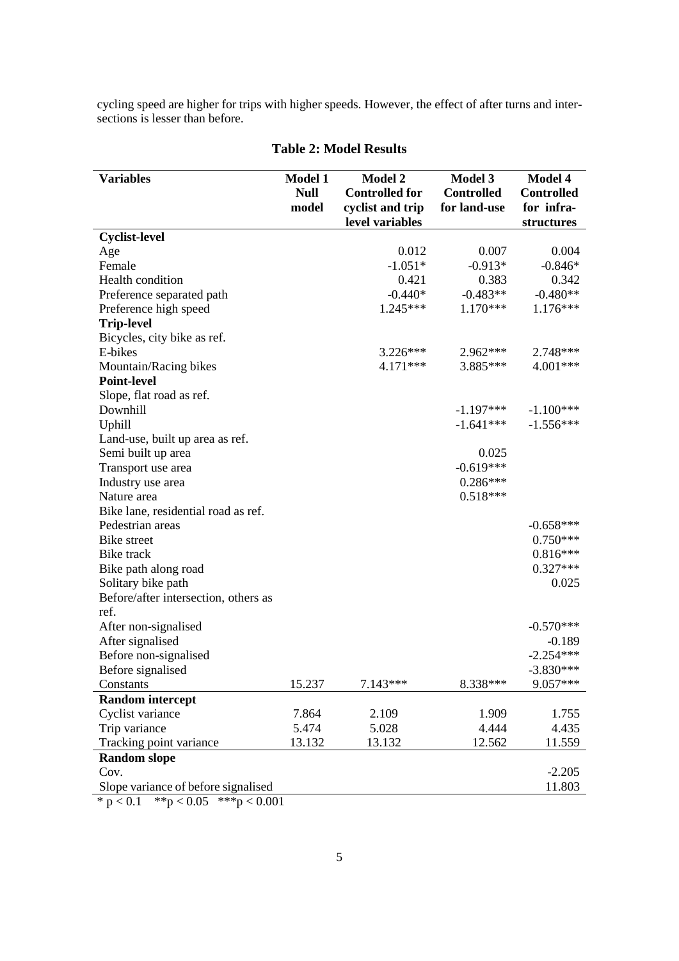cycling speed are higher for trips with higher speeds. However, the effect of after turns and intersections is lesser than before.

| <b>Variables</b>                                                                | <b>Model 1</b><br><b>Null</b><br>model | <b>Model 2</b><br><b>Controlled for</b><br>cyclist and trip<br>level variables | <b>Model 3</b><br><b>Controlled</b><br>for land-use | <b>Model 4</b><br><b>Controlled</b><br>for infra-<br>structures |
|---------------------------------------------------------------------------------|----------------------------------------|--------------------------------------------------------------------------------|-----------------------------------------------------|-----------------------------------------------------------------|
| <b>Cyclist-level</b>                                                            |                                        |                                                                                |                                                     |                                                                 |
| Age                                                                             |                                        | 0.012                                                                          | 0.007                                               | 0.004                                                           |
| Female                                                                          |                                        | $-1.051*$                                                                      | $-0.913*$                                           | $-0.846*$                                                       |
| Health condition                                                                |                                        | 0.421                                                                          | 0.383                                               | 0.342                                                           |
| Preference separated path                                                       |                                        | $-0.440*$                                                                      | $-0.483**$                                          | $-0.480**$                                                      |
| Preference high speed                                                           |                                        | $1.245***$                                                                     | $1.170***$                                          | $1.176***$                                                      |
| <b>Trip-level</b>                                                               |                                        |                                                                                |                                                     |                                                                 |
| Bicycles, city bike as ref.                                                     |                                        |                                                                                |                                                     |                                                                 |
| E-bikes                                                                         |                                        | $3.226***$                                                                     | 2.962***                                            | 2.748***                                                        |
| Mountain/Racing bikes                                                           |                                        | 4.171***                                                                       | 3.885***                                            | 4.001***                                                        |
| <b>Point-level</b>                                                              |                                        |                                                                                |                                                     |                                                                 |
| Slope, flat road as ref.                                                        |                                        |                                                                                |                                                     |                                                                 |
| Downhill                                                                        |                                        |                                                                                | $-1.197***$                                         | $-1.100***$                                                     |
| Uphill                                                                          |                                        |                                                                                | $-1.641***$                                         | $-1.556***$                                                     |
| Land-use, built up area as ref.                                                 |                                        |                                                                                |                                                     |                                                                 |
| Semi built up area                                                              |                                        |                                                                                | 0.025                                               |                                                                 |
| Transport use area                                                              |                                        |                                                                                | $-0.619***$                                         |                                                                 |
| Industry use area                                                               |                                        |                                                                                | $0.286***$                                          |                                                                 |
| Nature area                                                                     |                                        |                                                                                | $0.518***$                                          |                                                                 |
| Bike lane, residential road as ref.                                             |                                        |                                                                                |                                                     |                                                                 |
| Pedestrian areas                                                                |                                        |                                                                                |                                                     | $-0.658***$                                                     |
| <b>Bike</b> street                                                              |                                        |                                                                                |                                                     | $0.750***$                                                      |
| Bike track                                                                      |                                        |                                                                                |                                                     | $0.816***$                                                      |
| Bike path along road                                                            |                                        |                                                                                |                                                     | $0.327***$                                                      |
| Solitary bike path                                                              |                                        |                                                                                |                                                     | 0.025                                                           |
| Before/after intersection, others as                                            |                                        |                                                                                |                                                     |                                                                 |
| ref.                                                                            |                                        |                                                                                |                                                     |                                                                 |
| After non-signalised                                                            |                                        |                                                                                |                                                     | $-0.570***$                                                     |
| After signalised                                                                |                                        |                                                                                |                                                     | $-0.189$                                                        |
| Before non-signalised                                                           |                                        |                                                                                |                                                     | $-2.254***$                                                     |
| Before signalised                                                               |                                        |                                                                                |                                                     | $-3.830***$                                                     |
| Constants                                                                       | 15.237                                 | $7.143***$                                                                     | 8.338***                                            | 9.057***                                                        |
| <b>Random</b> intercept                                                         |                                        |                                                                                |                                                     |                                                                 |
| Cyclist variance                                                                | 7.864                                  | 2.109                                                                          | 1.909                                               | 1.755                                                           |
| Trip variance                                                                   | 5.474                                  | 5.028                                                                          | 4.444                                               | 4.435                                                           |
| Tracking point variance                                                         | 13.132                                 | 13.132                                                                         | 12.562                                              | 11.559                                                          |
| <b>Random slope</b>                                                             |                                        |                                                                                |                                                     |                                                                 |
| Cov.                                                                            |                                        |                                                                                |                                                     | $-2.205$                                                        |
| Slope variance of before signalised<br>$* n > 0.1$ $* n > 0.05$ $* * n > 0.001$ |                                        |                                                                                |                                                     | 11.803                                                          |

# **Table 2: Model Results**

\*  $p < 0.1$  \*\* $p < 0.05$  \*\*\* $p < 0.001$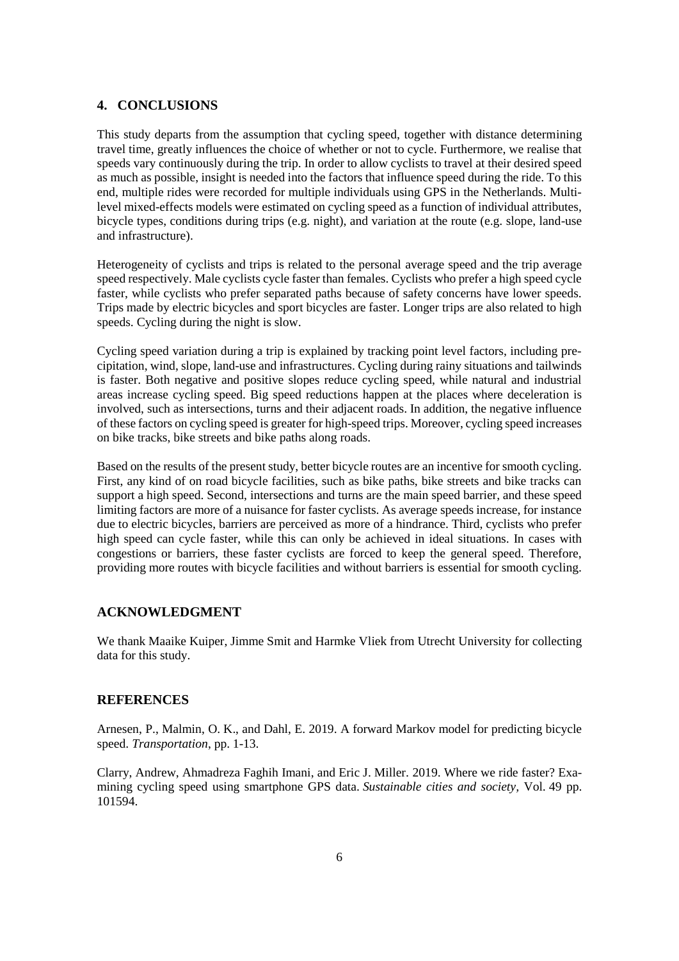#### **4. CONCLUSIONS**

This study departs from the assumption that cycling speed, together with distance determining travel time, greatly influences the choice of whether or not to cycle. Furthermore, we realise that speeds vary continuously during the trip. In order to allow cyclists to travel at their desired speed as much as possible, insight is needed into the factors that influence speed during the ride. To this end, multiple rides were recorded for multiple individuals using GPS in the Netherlands. Multilevel mixed-effects models were estimated on cycling speed as a function of individual attributes, bicycle types, conditions during trips (e.g. night), and variation at the route (e.g. slope, land-use and infrastructure).

Heterogeneity of cyclists and trips is related to the personal average speed and the trip average speed respectively. Male cyclists cycle faster than females. Cyclists who prefer a high speed cycle faster, while cyclists who prefer separated paths because of safety concerns have lower speeds. Trips made by electric bicycles and sport bicycles are faster. Longer trips are also related to high speeds. Cycling during the night is slow.

Cycling speed variation during a trip is explained by tracking point level factors, including precipitation, wind, slope, land-use and infrastructures. Cycling during rainy situations and tailwinds is faster. Both negative and positive slopes reduce cycling speed, while natural and industrial areas increase cycling speed. Big speed reductions happen at the places where deceleration is involved, such as intersections, turns and their adjacent roads. In addition, the negative influence of these factors on cycling speed is greater for high-speed trips. Moreover, cycling speed increases on bike tracks, bike streets and bike paths along roads.

Based on the results of the present study, better bicycle routes are an incentive for smooth cycling. First, any kind of on road bicycle facilities, such as bike paths, bike streets and bike tracks can support a high speed. Second, intersections and turns are the main speed barrier, and these speed limiting factors are more of a nuisance for faster cyclists. As average speeds increase, for instance due to electric bicycles, barriers are perceived as more of a hindrance. Third, cyclists who prefer high speed can cycle faster, while this can only be achieved in ideal situations. In cases with congestions or barriers, these faster cyclists are forced to keep the general speed. Therefore, providing more routes with bicycle facilities and without barriers is essential for smooth cycling.

#### **ACKNOWLEDGMENT**

We thank Maaike Kuiper, Jimme Smit and Harmke Vliek from Utrecht University for collecting data for this study.

#### **REFERENCES**

Arnesen, P., Malmin, O. K., and Dahl, E. 2019. A forward Markov model for predicting bicycle speed. *Transportation*, pp. 1-13.

Clarry, Andrew, Ahmadreza Faghih Imani, and Eric J. Miller. 2019. Where we ride faster? Examining cycling speed using smartphone GPS data. *Sustainable cities and society,* Vol*.* 49 pp. 101594.